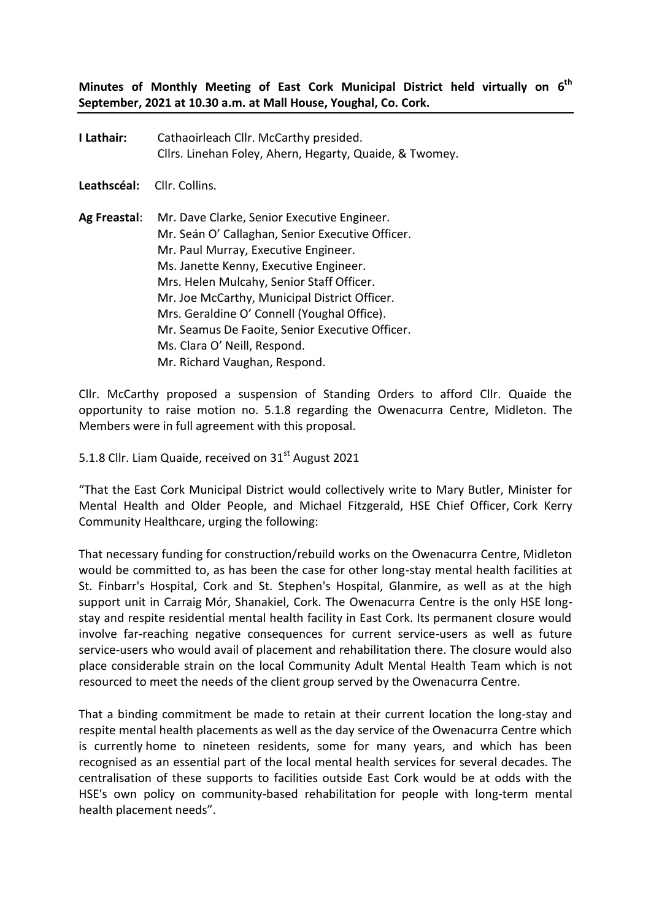**Minutes of Monthly Meeting of East Cork Municipal District held virtually on 6 th September, 2021 at 10.30 a.m. at Mall House, Youghal, Co. Cork.**

**I Lathair:** Cathaoirleach Cllr. McCarthy presided. Cllrs. Linehan Foley, Ahern, Hegarty, Quaide, & Twomey.

**Leathscéal:** Cllr. Collins.

**Ag Freastal**: Mr. Dave Clarke, Senior Executive Engineer. Mr. Seán O' Callaghan, Senior Executive Officer. Mr. Paul Murray, Executive Engineer. Ms. Janette Kenny, Executive Engineer. Mrs. Helen Mulcahy, Senior Staff Officer. Mr. Joe McCarthy, Municipal District Officer. Mrs. Geraldine O' Connell (Youghal Office). Mr. Seamus De Faoite, Senior Executive Officer. Ms. Clara O' Neill, Respond. Mr. Richard Vaughan, Respond.

Cllr. McCarthy proposed a suspension of Standing Orders to afford Cllr. Quaide the opportunity to raise motion no. 5.1.8 regarding the Owenacurra Centre, Midleton. The Members were in full agreement with this proposal.

5.1.8 Cllr. Liam Quaide, received on 31<sup>st</sup> August 2021

"That the East Cork Municipal District would collectively write to Mary Butler, Minister for Mental Health and Older People, and Michael Fitzgerald, HSE Chief Officer, Cork Kerry Community Healthcare, urging the following:

That necessary funding for construction/rebuild works on the Owenacurra Centre, Midleton would be committed to, as has been the case for other long-stay mental health facilities at St. Finbarr's Hospital, Cork and St. Stephen's Hospital, Glanmire, as well as at the high support unit in Carraig Mór, Shanakiel, Cork. The Owenacurra Centre is the only HSE longstay and respite residential mental health facility in East Cork. Its permanent closure would involve far-reaching negative consequences for current service-users as well as future service-users who would avail of placement and rehabilitation there. The closure would also place considerable strain on the local Community Adult Mental Health Team which is not resourced to meet the needs of the client group served by the Owenacurra Centre.

That a binding commitment be made to retain at their current location the long-stay and respite mental health placements as well as the day service of the Owenacurra Centre which is currently home to nineteen residents, some for many years, and which has been recognised as an essential part of the local mental health services for several decades. The centralisation of these supports to facilities outside East Cork would be at odds with the HSE's own policy on community-based rehabilitation for people with long-term mental health placement needs".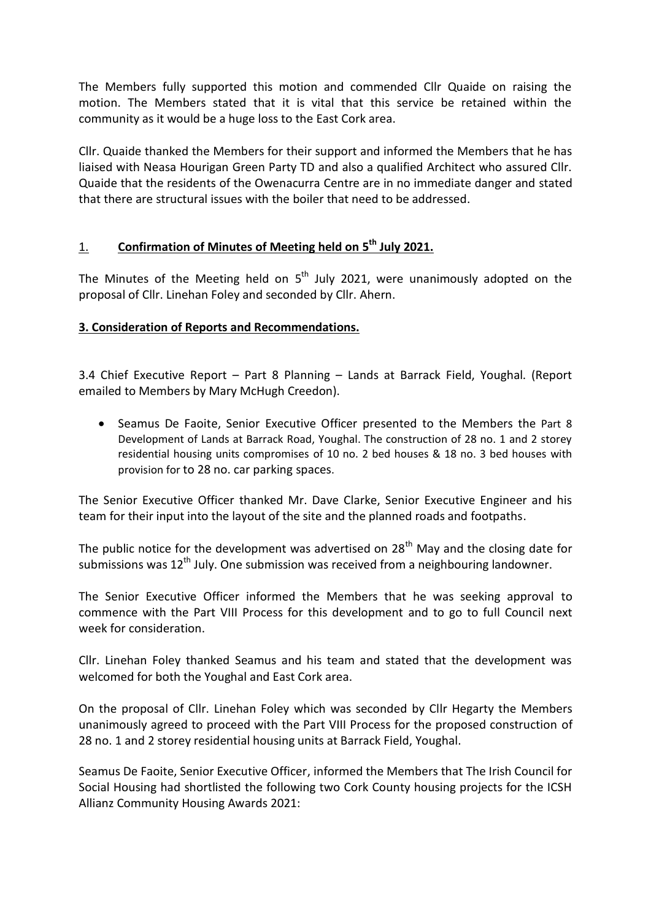The Members fully supported this motion and commended Cllr Quaide on raising the motion. The Members stated that it is vital that this service be retained within the community as it would be a huge loss to the East Cork area.

Cllr. Quaide thanked the Members for their support and informed the Members that he has liaised with Neasa Hourigan Green Party TD and also a qualified Architect who assured Cllr. Quaide that the residents of the Owenacurra Centre are in no immediate danger and stated that there are structural issues with the boiler that need to be addressed.

# 1. **Confirmation of Minutes of Meeting held on 5 th July 2021.**

The Minutes of the Meeting held on  $5<sup>th</sup>$  July 2021, were unanimously adopted on the proposal of Cllr. Linehan Foley and seconded by Cllr. Ahern.

# **3. Consideration of Reports and Recommendations.**

3.4 Chief Executive Report – Part 8 Planning – Lands at Barrack Field, Youghal. (Report emailed to Members by Mary McHugh Creedon).

 Seamus De Faoite, Senior Executive Officer presented to the Members the Part 8 Development of Lands at Barrack Road, Youghal. The construction of 28 no. 1 and 2 storey residential housing units compromises of 10 no. 2 bed houses & 18 no. 3 bed houses with provision for to 28 no. car parking spaces.

The Senior Executive Officer thanked Mr. Dave Clarke, Senior Executive Engineer and his team for their input into the layout of the site and the planned roads and footpaths.

The public notice for the development was advertised on  $28<sup>th</sup>$  May and the closing date for submissions was  $12^{th}$  July. One submission was received from a neighbouring landowner.

The Senior Executive Officer informed the Members that he was seeking approval to commence with the Part VIII Process for this development and to go to full Council next week for consideration.

Cllr. Linehan Foley thanked Seamus and his team and stated that the development was welcomed for both the Youghal and East Cork area.

On the proposal of Cllr. Linehan Foley which was seconded by Cllr Hegarty the Members unanimously agreed to proceed with the Part VIII Process for the proposed construction of 28 no. 1 and 2 storey residential housing units at Barrack Field, Youghal.

Seamus De Faoite, Senior Executive Officer, informed the Members that The Irish Council for Social Housing had shortlisted the following two Cork County housing projects for the ICSH Allianz Community Housing Awards 2021: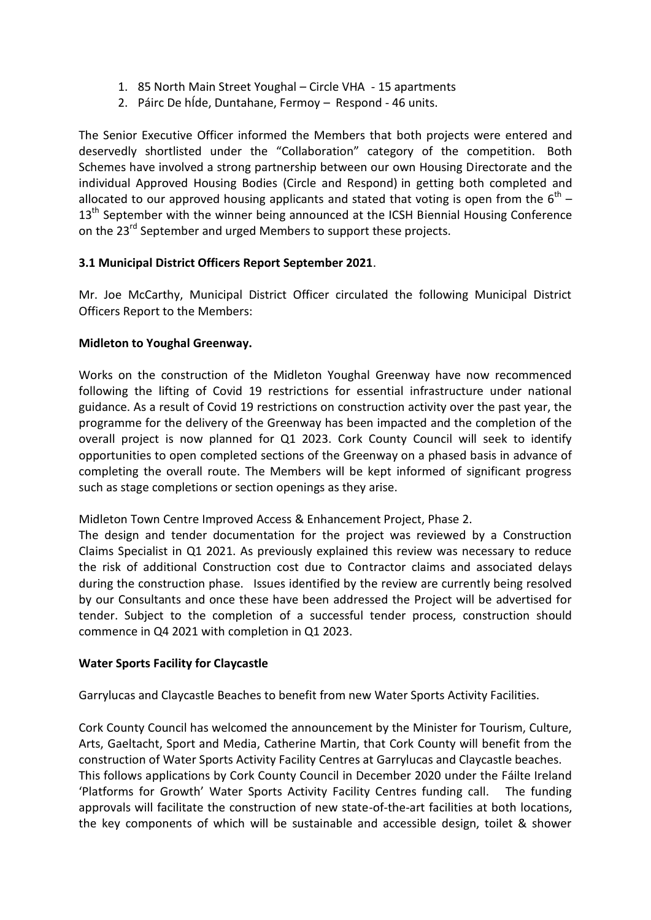- 1. 85 North Main Street Youghal Circle VHA 15 apartments
- 2. Páirc De hÍde, Duntahane, Fermoy Respond 46 units.

The Senior Executive Officer informed the Members that both projects were entered and deservedly shortlisted under the "Collaboration" category of the competition. Both Schemes have involved a strong partnership between our own Housing Directorate and the individual Approved Housing Bodies (Circle and Respond) in getting both completed and allocated to our approved housing applicants and stated that voting is open from the  $6^{\text{th}}$  – 13<sup>th</sup> September with the winner being announced at the ICSH Biennial Housing Conference on the 23<sup>rd</sup> September and urged Members to support these projects.

## **3.1 Municipal District Officers Report September 2021**.

Mr. Joe McCarthy, Municipal District Officer circulated the following Municipal District Officers Report to the Members:

## **Midleton to Youghal Greenway.**

Works on the construction of the Midleton Youghal Greenway have now recommenced following the lifting of Covid 19 restrictions for essential infrastructure under national guidance. As a result of Covid 19 restrictions on construction activity over the past year, the programme for the delivery of the Greenway has been impacted and the completion of the overall project is now planned for Q1 2023. Cork County Council will seek to identify opportunities to open completed sections of the Greenway on a phased basis in advance of completing the overall route. The Members will be kept informed of significant progress such as stage completions or section openings as they arise.

Midleton Town Centre Improved Access & Enhancement Project, Phase 2.

The design and tender documentation for the project was reviewed by a Construction Claims Specialist in Q1 2021. As previously explained this review was necessary to reduce the risk of additional Construction cost due to Contractor claims and associated delays during the construction phase. Issues identified by the review are currently being resolved by our Consultants and once these have been addressed the Project will be advertised for tender. Subject to the completion of a successful tender process, construction should commence in Q4 2021 with completion in Q1 2023.

#### **Water Sports Facility for Claycastle**

Garrylucas and Claycastle Beaches to benefit from new Water Sports Activity Facilities.

Cork County Council has welcomed the announcement by the Minister for Tourism, Culture, Arts, Gaeltacht, Sport and Media, Catherine Martin, that Cork County will benefit from the construction of Water Sports Activity Facility Centres at Garrylucas and Claycastle beaches. This follows applications by Cork County Council in December 2020 under the Fáilte Ireland 'Platforms for Growth' Water Sports Activity Facility Centres funding call. The funding approvals will facilitate the construction of new state-of-the-art facilities at both locations, the key components of which will be sustainable and accessible design, toilet & shower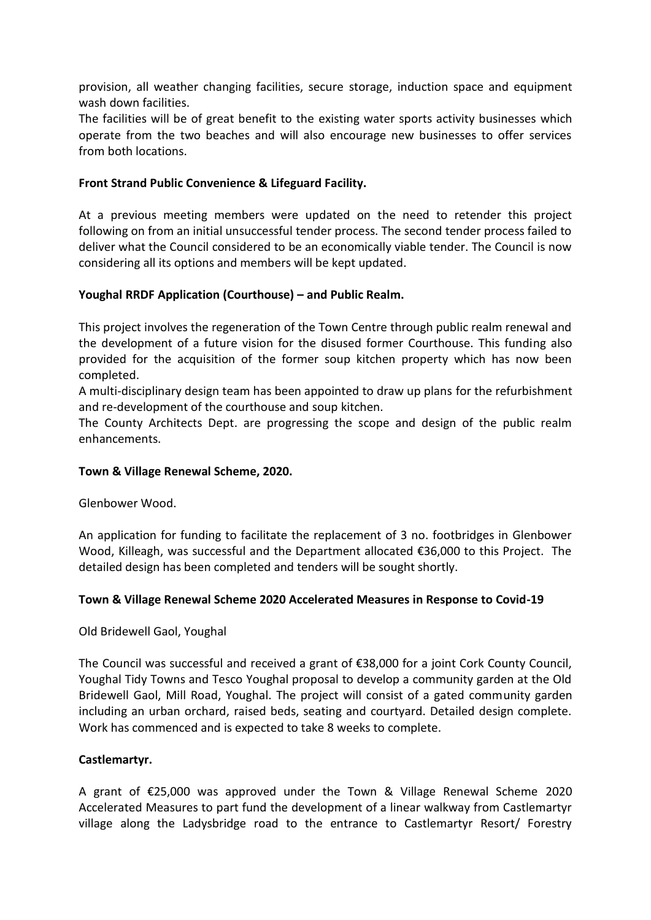provision, all weather changing facilities, secure storage, induction space and equipment wash down facilities.

The facilities will be of great benefit to the existing water sports activity businesses which operate from the two beaches and will also encourage new businesses to offer services from both locations.

# **Front Strand Public Convenience & Lifeguard Facility.**

At a previous meeting members were updated on the need to retender this project following on from an initial unsuccessful tender process. The second tender process failed to deliver what the Council considered to be an economically viable tender. The Council is now considering all its options and members will be kept updated.

## **Youghal RRDF Application (Courthouse) – and Public Realm.**

This project involves the regeneration of the Town Centre through public realm renewal and the development of a future vision for the disused former Courthouse. This funding also provided for the acquisition of the former soup kitchen property which has now been completed.

A multi-disciplinary design team has been appointed to draw up plans for the refurbishment and re-development of the courthouse and soup kitchen.

The County Architects Dept. are progressing the scope and design of the public realm enhancements.

#### **Town & Village Renewal Scheme, 2020.**

Glenbower Wood.

An application for funding to facilitate the replacement of 3 no. footbridges in Glenbower Wood, Killeagh, was successful and the Department allocated €36,000 to this Project. The detailed design has been completed and tenders will be sought shortly.

#### **Town & Village Renewal Scheme 2020 Accelerated Measures in Response to Covid-19**

Old Bridewell Gaol, Youghal

The Council was successful and received a grant of €38,000 for a joint Cork County Council, Youghal Tidy Towns and Tesco Youghal proposal to develop a community garden at the Old Bridewell Gaol, Mill Road, Youghal. The project will consist of a gated community garden including an urban orchard, raised beds, seating and courtyard. Detailed design complete. Work has commenced and is expected to take 8 weeks to complete.

#### **Castlemartyr.**

A grant of €25,000 was approved under the Town & Village Renewal Scheme 2020 Accelerated Measures to part fund the development of a linear walkway from Castlemartyr village along the Ladysbridge road to the entrance to Castlemartyr Resort/ Forestry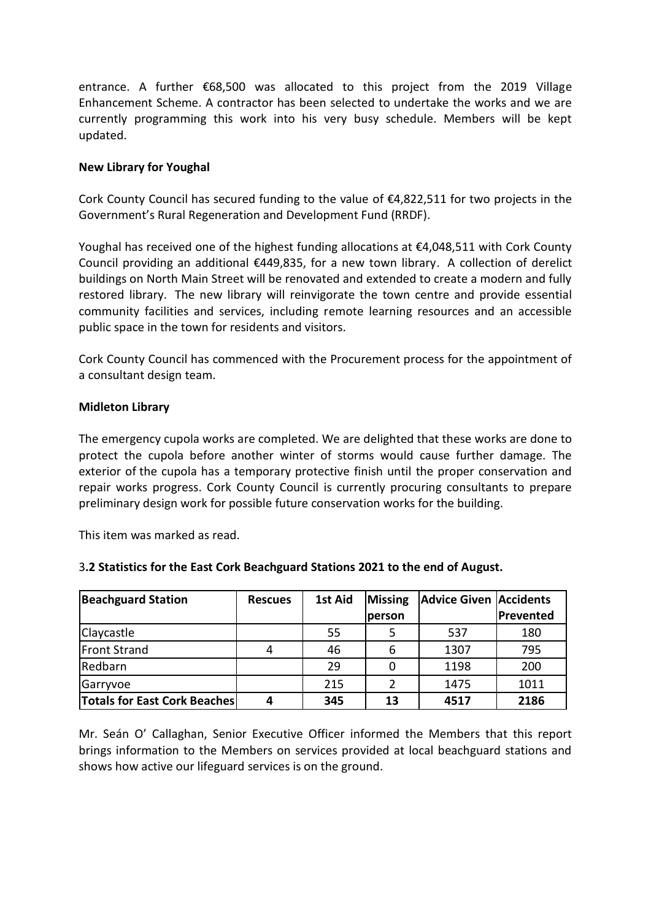entrance. A further €68,500 was allocated to this project from the 2019 Village Enhancement Scheme. A contractor has been selected to undertake the works and we are currently programming this work into his very busy schedule. Members will be kept updated.

### **New Library for Youghal**

Cork County Council has secured funding to the value of  $E4,822,511$  for two projects in the Government's Rural Regeneration and Development Fund (RRDF).

Youghal has received one of the highest funding allocations at €4,048,511 with Cork County Council providing an additional  $\epsilon$ 449,835, for a new town library. A collection of derelict buildings on North Main Street will be renovated and extended to create a modern and fully restored library. The new library will reinvigorate the town centre and provide essential community facilities and services, including remote learning resources and an accessible public space in the town for residents and visitors.

Cork County Council has commenced with the Procurement process for the appointment of a consultant design team.

#### **Midleton Library**

The emergency cupola works are completed. We are delighted that these works are done to protect the cupola before another winter of storms would cause further damage. The exterior of the cupola has a temporary protective finish until the proper conservation and repair works progress. Cork County Council is currently procuring consultants to prepare preliminary design work for possible future conservation works for the building.

This item was marked as read.

| 3.2 Statistics for the East Cork Beachguard Stations 2021 to the end of August. |  |
|---------------------------------------------------------------------------------|--|
|                                                                                 |  |

| <b>Beachguard Station</b>           | <b>Rescues</b> | 1st Aid | <b>Missing</b> | <b>Advice Given Accidents</b> |           |
|-------------------------------------|----------------|---------|----------------|-------------------------------|-----------|
|                                     |                |         | <b>person</b>  |                               | Prevented |
| Claycastle                          |                | 55      |                | 537                           | 180       |
| <b>Front Strand</b>                 |                | 46      | 6              | 1307                          | 795       |
| Redbarn                             |                | 29      |                | 1198                          | 200       |
| Garryvoe                            |                | 215     |                | 1475                          | 1011      |
| <b>Totals for East Cork Beaches</b> |                | 345     | 13             | 4517                          | 2186      |

Mr. Seán O' Callaghan, Senior Executive Officer informed the Members that this report brings information to the Members on services provided at local beachguard stations and shows how active our lifeguard services is on the ground.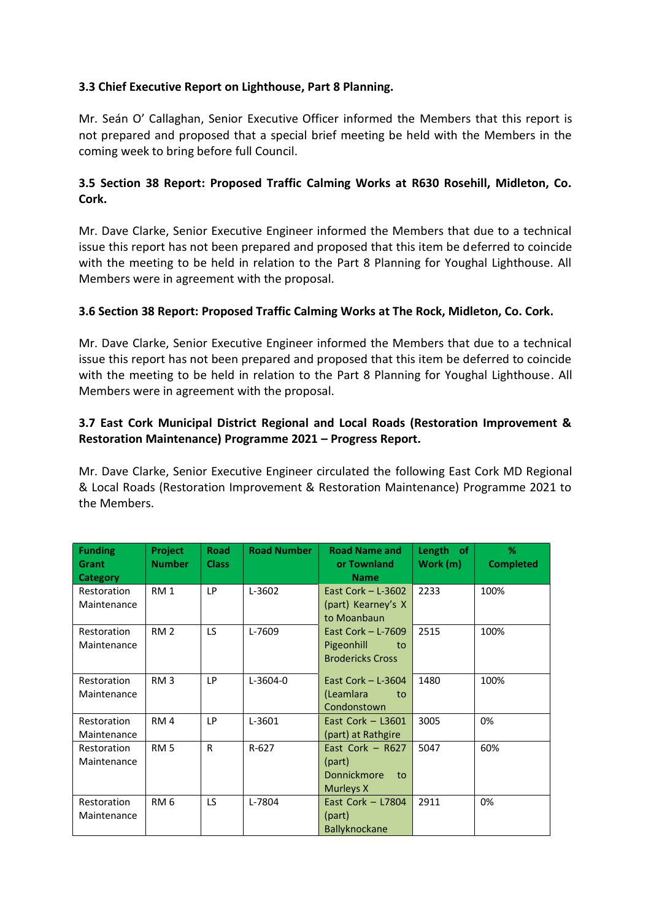# **3.3 Chief Executive Report on Lighthouse, Part 8 Planning.**

Mr. Seán O' Callaghan, Senior Executive Officer informed the Members that this report is not prepared and proposed that a special brief meeting be held with the Members in the coming week to bring before full Council.

# **3.5 Section 38 Report: Proposed Traffic Calming Works at R630 Rosehill, Midleton, Co. Cork.**

Mr. Dave Clarke, Senior Executive Engineer informed the Members that due to a technical issue this report has not been prepared and proposed that this item be deferred to coincide with the meeting to be held in relation to the Part 8 Planning for Youghal Lighthouse. All Members were in agreement with the proposal.

# **3.6 Section 38 Report: Proposed Traffic Calming Works at The Rock, Midleton, Co. Cork.**

Mr. Dave Clarke, Senior Executive Engineer informed the Members that due to a technical issue this report has not been prepared and proposed that this item be deferred to coincide with the meeting to be held in relation to the Part 8 Planning for Youghal Lighthouse. All Members were in agreement with the proposal.

# **3.7 East Cork Municipal District Regional and Local Roads (Restoration Improvement & Restoration Maintenance) Programme 2021 – Progress Report.**

Mr. Dave Clarke, Senior Executive Engineer circulated the following East Cork MD Regional & Local Roads (Restoration Improvement & Restoration Maintenance) Programme 2021 to the Members.

| <b>Funding</b><br>Grant    | Project<br><b>Number</b> | <b>Road</b><br><b>Class</b> | <b>Road Number</b> | <b>Road Name and</b><br>or Townland         | Length of<br>Work (m) | $\%$<br><b>Completed</b> |
|----------------------------|--------------------------|-----------------------------|--------------------|---------------------------------------------|-----------------------|--------------------------|
| Category                   |                          |                             |                    | <b>Name</b>                                 |                       |                          |
| Restoration<br>Maintenance | RM <sub>1</sub>          | LP                          | L-3602             | East Cork $-$ L-3602<br>(part) Kearney's X  | 2233                  | 100%                     |
|                            |                          |                             |                    | to Moanbaun                                 |                       |                          |
| Restoration                | RM <sub>2</sub>          | LS.                         | L-7609             | East Cork $-$ L-7609                        | 2515                  | 100%                     |
| Maintenance                |                          |                             |                    | Pigeonhill<br>to<br><b>Brodericks Cross</b> |                       |                          |
| Restoration                | RM <sub>3</sub>          | LP                          | L-3604-0           | East Cork $-$ L-3604                        | 1480                  | 100%                     |
| Maintenance                |                          |                             |                    | (Leamlara<br>to<br>Condonstown              |                       |                          |
| Restoration                | RM <sub>4</sub>          | <b>LP</b>                   | L-3601             | East Cork $-$ L3601                         | 3005                  | 0%                       |
| Maintenance                | RM <sub>5</sub>          | R                           | $R-627$            | (part) at Rathgire<br>East Cork $-$ R627    | 5047                  | 60%                      |
| Restoration<br>Maintenance |                          |                             |                    | (part)                                      |                       |                          |
|                            |                          |                             |                    | <b>Donnickmore</b><br>to                    |                       |                          |
|                            |                          |                             |                    | Murleys X                                   |                       |                          |
| Restoration                | RM <sub>6</sub>          | LS.                         | L-7804             | East Cork $-$ L7804                         | 2911                  | 0%                       |
| Maintenance                |                          |                             |                    | (part)                                      |                       |                          |
|                            |                          |                             |                    | Ballyknockane                               |                       |                          |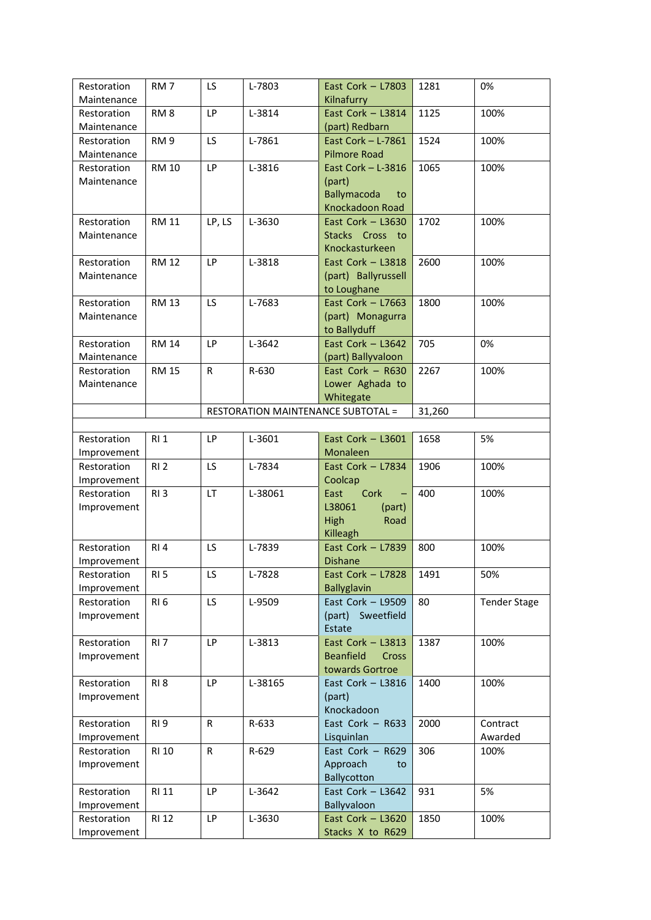| Restoration | RM <sub>7</sub> | LS.       | L-7803  | East Cork $-$ L7803                       | 1281   | 0%                  |
|-------------|-----------------|-----------|---------|-------------------------------------------|--------|---------------------|
| Maintenance |                 |           |         | Kilnafurry                                |        |                     |
| Restoration | RM <sub>8</sub> | <b>LP</b> | L-3814  | East Cork - L3814                         | 1125   | 100%                |
| Maintenance |                 |           |         | (part) Redbarn                            |        |                     |
| Restoration | RM <sub>9</sub> | LS.       | L-7861  | East Cork - L-7861                        | 1524   | 100%                |
| Maintenance |                 |           |         | <b>Pilmore Road</b>                       |        |                     |
| Restoration | <b>RM 10</b>    | LP        | L-3816  | East Cork $-$ L-3816                      | 1065   | 100%                |
| Maintenance |                 |           |         | (part)                                    |        |                     |
|             |                 |           |         | <b>Ballymacoda</b><br>to                  |        |                     |
|             |                 |           |         | Knockadoon Road                           |        |                     |
| Restoration | <b>RM 11</b>    | LP, LS    | L-3630  | East Cork $-$ L3630                       | 1702   | 100%                |
| Maintenance |                 |           |         | Stacks Cross to                           |        |                     |
|             |                 |           |         | Knockasturkeen                            |        |                     |
| Restoration | <b>RM 12</b>    | <b>LP</b> | L-3818  | East Cork - L3818                         | 2600   | 100%                |
| Maintenance |                 |           |         | (part) Ballyrussell                       |        |                     |
|             |                 |           |         | to Loughane                               |        |                     |
| Restoration | <b>RM 13</b>    | LS.       | L-7683  | East Cork $-$ L7663                       | 1800   | 100%                |
| Maintenance |                 |           |         | (part) Monagurra                          |        |                     |
|             |                 |           |         | to Ballyduff                              |        |                     |
| Restoration | <b>RM 14</b>    | <b>LP</b> | L-3642  | East Cork $-$ L3642                       | 705    | 0%                  |
| Maintenance |                 |           |         | (part) Ballyvaloon                        |        |                     |
| Restoration | <b>RM 15</b>    | R.        | R-630   | East Cork $-$ R630                        | 2267   | 100%                |
| Maintenance |                 |           |         | Lower Aghada to                           |        |                     |
|             |                 |           |         | Whitegate                                 |        |                     |
|             |                 |           |         | <b>RESTORATION MAINTENANCE SUBTOTAL =</b> | 31,260 |                     |
|             |                 |           |         |                                           |        |                     |
| Restoration | R11             | LP        | L-3601  | East Cork $-$ L3601                       | 1658   | 5%                  |
| Improvement |                 |           |         | Monaleen                                  |        |                     |
| Restoration | RI <sub>2</sub> | LS.       | L-7834  | East Cork - L7834                         | 1906   | 100%                |
|             |                 |           |         |                                           |        |                     |
| Improvement |                 | LT.       |         | Coolcap                                   | 400    |                     |
| Restoration | RI <sub>3</sub> |           | L-38061 | Cork<br>East                              |        | 100%                |
| Improvement |                 |           |         | L38061<br>(part)                          |        |                     |
|             |                 |           |         | High<br>Road                              |        |                     |
|             |                 |           |         | Killeagh<br>East Cork $-$ L7839           |        |                     |
| Restoration | RI <sub>4</sub> | LS        | L-7839  |                                           | 800    | 100%                |
| Improvement |                 |           |         | <b>Dishane</b>                            |        |                     |
| Restoration | RI <sub>5</sub> | LS.       | L-7828  | East Cork - L7828                         | 1491   | 50%                 |
| Improvement |                 |           |         | <b>Ballyglavin</b>                        |        |                     |
| Restoration | RI <sub>6</sub> | LS        | L-9509  | East Cork $-$ L9509                       | 80     | <b>Tender Stage</b> |
| Improvement |                 |           |         | (part) Sweetfield                         |        |                     |
|             |                 |           |         | Estate                                    |        |                     |
| Restoration | RI <sub>7</sub> | LP        | L-3813  | East Cork $-$ L3813                       | 1387   | 100%                |
| Improvement |                 |           |         | <b>Beanfield</b><br>Cross                 |        |                     |
|             |                 |           |         | towards Gortroe                           |        |                     |
| Restoration | RI <sub>8</sub> | LP        | L-38165 | East Cork $-$ L3816                       | 1400   | 100%                |
| Improvement |                 |           |         | (part)                                    |        |                     |
|             |                 |           |         | Knockadoon                                |        |                     |
| Restoration | RI <sub>9</sub> | R         | R-633   | East Cork $-$ R633                        | 2000   | Contract            |
| Improvement |                 |           |         | Lisquinlan                                |        | Awarded             |
| Restoration | RI 10           | R         | R-629   | East Cork $-$ R629                        | 306    | 100%                |
| Improvement |                 |           |         | Approach<br>to                            |        |                     |
|             |                 |           |         | Ballycotton                               |        |                     |
| Restoration | RI 11           | LP        | L-3642  | East Cork $-$ L3642                       | 931    | 5%                  |
| Improvement |                 |           |         | Ballyvaloon                               |        |                     |
|             |                 |           |         |                                           |        |                     |
| Restoration | <b>RI 12</b>    | LP        | L-3630  | East Cork $-$ L3620                       | 1850   | 100%                |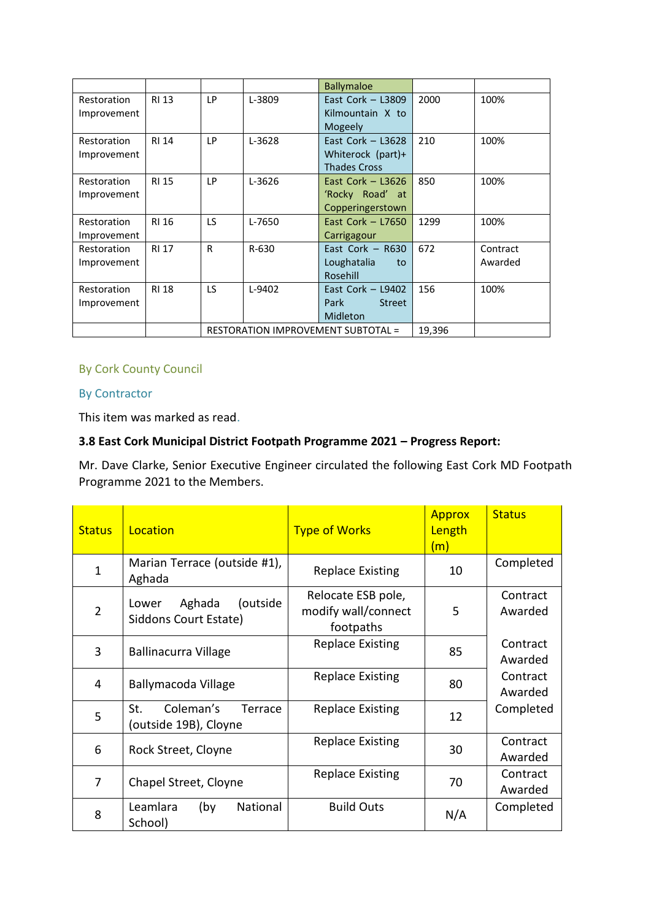|                            |              |     |          | <b>Ballymaloe</b>                       |        |          |
|----------------------------|--------------|-----|----------|-----------------------------------------|--------|----------|
| Restoration<br>Improvement | <b>RI 13</b> | LP  | L-3809   | East Cork $-$ L3809<br>Kilmountain X to | 2000   | 100%     |
|                            |              |     |          | Mogeely                                 |        |          |
| Restoration                | <b>RI 14</b> | LP  | L-3628   | East Cork $-$ L3628                     | 210    | 100%     |
| Improvement                |              |     |          | Whiterock (part)+                       |        |          |
|                            |              |     |          | <b>Thades Cross</b>                     |        |          |
| Restoration                | <b>RI 15</b> | LP  | L-3626   | East Cork $-$ L3626                     | 850    | 100%     |
| Improvement                |              |     |          | 'Rocky Road' at                         |        |          |
|                            |              |     |          | Copperingerstown                        |        |          |
| Restoration                | <b>RI 16</b> | LS. | L-7650   | East Cork $-$ L7650                     | 1299   | 100%     |
| Improvement                |              |     |          | Carrigagour                             |        |          |
| Restoration                | <b>RI 17</b> | R   | R-630    | East Cork $-$ R630                      | 672    | Contract |
| Improvement                |              |     |          | Loughatalia<br>to                       |        | Awarded  |
|                            |              |     |          | Rosehill                                |        |          |
| Restoration                | <b>RI 18</b> | LS. | $L-9402$ | East Cork $-$ L9402                     | 156    | 100%     |
| Improvement                |              |     |          | Park<br><b>Street</b>                   |        |          |
|                            |              |     |          | Midleton                                |        |          |
|                            |              |     |          | RESTORATION IMPROVEMENT SUBTOTAL =      | 19,396 |          |

# By Cork County Council

## By Contractor

This item was marked as read.

# **3.8 East Cork Municipal District Footpath Programme 2021 – Progress Report:**

Mr. Dave Clarke, Senior Executive Engineer circulated the following East Cork MD Footpath Programme 2021 to the Members.

| <b>Status</b>  | Location                                             | <b>Type of Works</b>                                   | <b>Approx</b><br>Length<br>(m) | <b>Status</b>       |
|----------------|------------------------------------------------------|--------------------------------------------------------|--------------------------------|---------------------|
| $\mathbf{1}$   | Marian Terrace (outside #1),<br>Aghada               | <b>Replace Existing</b>                                | 10                             | Completed           |
| $\overline{2}$ | Aghada<br>(outside<br>Lower<br>Siddons Court Estate) | Relocate ESB pole,<br>modify wall/connect<br>footpaths | 5                              | Contract<br>Awarded |
| 3              | Ballinacurra Village                                 | <b>Replace Existing</b>                                | 85                             | Contract<br>Awarded |
| 4              | Ballymacoda Village                                  | <b>Replace Existing</b>                                | 80                             | Contract<br>Awarded |
| 5              | Coleman's<br>St.<br>Terrace<br>(outside 19B), Cloyne | <b>Replace Existing</b>                                | 12                             | Completed           |
| 6              | Rock Street, Cloyne                                  | <b>Replace Existing</b>                                | 30                             | Contract<br>Awarded |
| 7              | Chapel Street, Cloyne                                | <b>Replace Existing</b>                                | 70                             | Contract<br>Awarded |
| 8              | National<br>Leamlara<br>(by<br>School)               | <b>Build Outs</b>                                      | N/A                            | Completed           |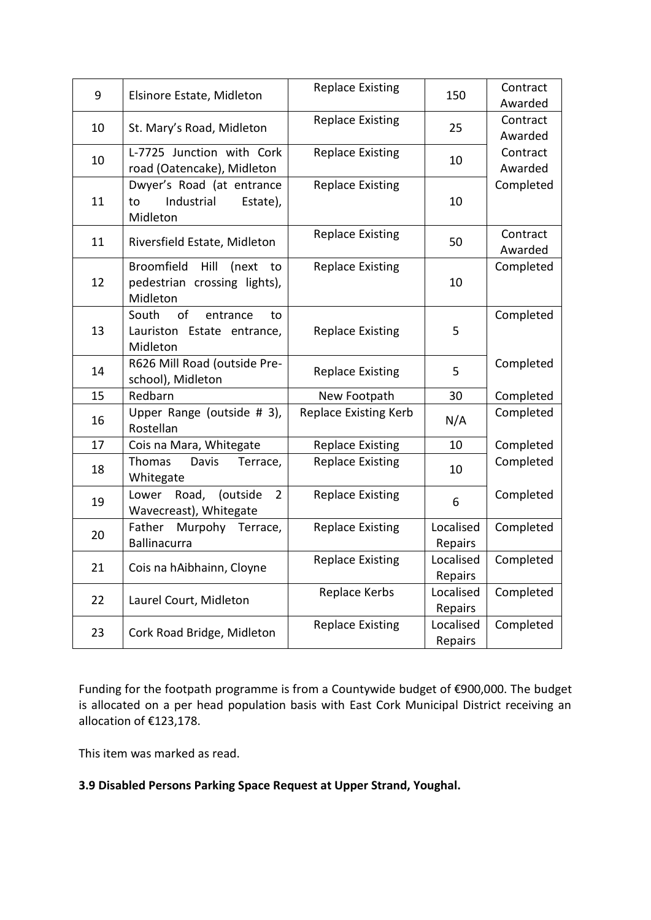| 9  | Elsinore Estate, Midleton                                                            | <b>Replace Existing</b>      | 150                  | Contract<br>Awarded |
|----|--------------------------------------------------------------------------------------|------------------------------|----------------------|---------------------|
| 10 | St. Mary's Road, Midleton                                                            | <b>Replace Existing</b>      | 25                   | Contract<br>Awarded |
| 10 | L-7725 Junction with Cork<br>road (Oatencake), Midleton                              | <b>Replace Existing</b>      | 10                   | Contract<br>Awarded |
| 11 | Dwyer's Road (at entrance<br>Industrial<br>Estate),<br>to<br>Midleton                | <b>Replace Existing</b>      | 10                   | Completed           |
| 11 | Riversfield Estate, Midleton                                                         | <b>Replace Existing</b>      | 50                   | Contract<br>Awarded |
| 12 | <b>Broomfield</b><br>Hill<br>(next<br>to<br>pedestrian crossing lights),<br>Midleton | <b>Replace Existing</b>      | 10                   | Completed           |
| 13 | of<br>South<br>entrance<br>to<br>Lauriston Estate entrance,<br>Midleton              | <b>Replace Existing</b>      | 5                    | Completed           |
| 14 | R626 Mill Road (outside Pre-<br>school), Midleton                                    | <b>Replace Existing</b>      | 5                    | Completed           |
| 15 | Redbarn                                                                              | New Footpath                 | 30                   | Completed           |
| 16 | Upper Range (outside # 3),<br>Rostellan                                              | <b>Replace Existing Kerb</b> | N/A                  | Completed           |
| 17 | Cois na Mara, Whitegate                                                              | <b>Replace Existing</b>      | 10                   | Completed           |
| 18 | Thomas<br>Davis<br>Terrace,<br>Whitegate                                             | <b>Replace Existing</b>      | 10                   | Completed           |
| 19 | Lower Road,<br>(outside<br>$\overline{2}$<br>Wavecreast), Whitegate                  | <b>Replace Existing</b>      | 6                    | Completed           |
| 20 | Father Murpohy Terrace,<br><b>Ballinacurra</b>                                       | <b>Replace Existing</b>      | Localised<br>Repairs | Completed           |
| 21 | Cois na hAibhainn, Cloyne                                                            | <b>Replace Existing</b>      | Localised<br>Repairs | Completed           |
| 22 | Laurel Court, Midleton                                                               | Replace Kerbs                | Localised<br>Repairs | Completed           |
| 23 | Cork Road Bridge, Midleton                                                           | <b>Replace Existing</b>      | Localised<br>Repairs | Completed           |

Funding for the footpath programme is from a Countywide budget of €900,000. The budget is allocated on a per head population basis with East Cork Municipal District receiving an allocation of €123,178.

This item was marked as read.

# **3.9 Disabled Persons Parking Space Request at Upper Strand, Youghal.**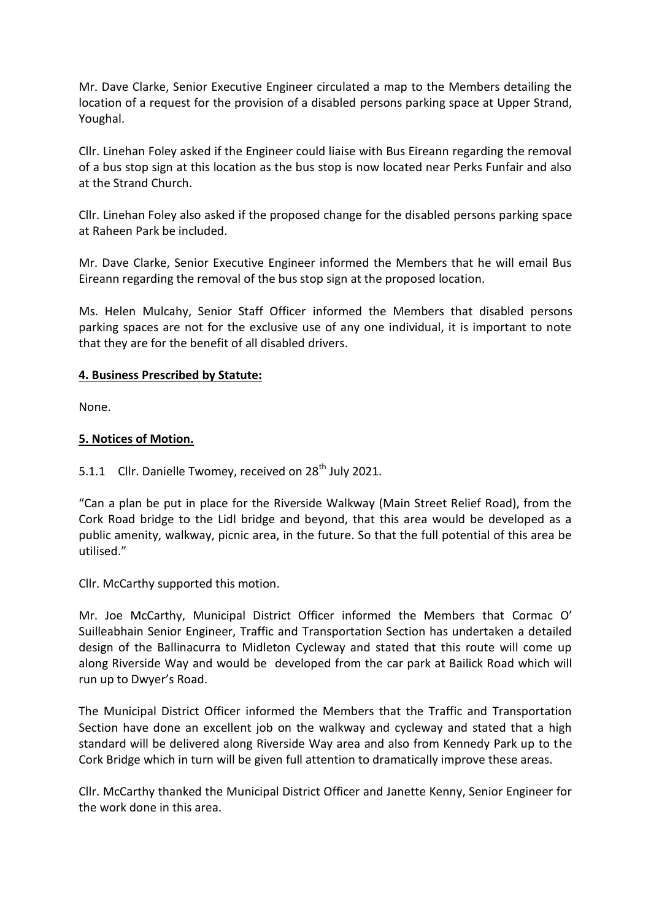Mr. Dave Clarke, Senior Executive Engineer circulated a map to the Members detailing the location of a request for the provision of a disabled persons parking space at Upper Strand, Youghal.

Cllr. Linehan Foley asked if the Engineer could liaise with Bus Eireann regarding the removal of a bus stop sign at this location as the bus stop is now located near Perks Funfair and also at the Strand Church.

Cllr. Linehan Foley also asked if the proposed change for the disabled persons parking space at Raheen Park be included.

Mr. Dave Clarke, Senior Executive Engineer informed the Members that he will email Bus Eireann regarding the removal of the bus stop sign at the proposed location.

Ms. Helen Mulcahy, Senior Staff Officer informed the Members that disabled persons parking spaces are not for the exclusive use of any one individual, it is important to note that they are for the benefit of all disabled drivers.

#### **4. Business Prescribed by Statute:**

None.

## **5. Notices of Motion.**

# 5.1.1 Cllr. Danielle Twomey, received on  $28<sup>th</sup>$  July 2021.

"Can a plan be put in place for the Riverside Walkway (Main Street Relief Road), from the Cork Road bridge to the Lidl bridge and beyond, that this area would be developed as a public amenity, walkway, picnic area, in the future. So that the full potential of this area be utilised."

Cllr. McCarthy supported this motion.

Mr. Joe McCarthy, Municipal District Officer informed the Members that Cormac O' Suilleabhain Senior Engineer, Traffic and Transportation Section has undertaken a detailed design of the Ballinacurra to Midleton Cycleway and stated that this route will come up along Riverside Way and would be developed from the car park at Bailick Road which will run up to Dwyer's Road.

The Municipal District Officer informed the Members that the Traffic and Transportation Section have done an excellent job on the walkway and cycleway and stated that a high standard will be delivered along Riverside Way area and also from Kennedy Park up to the Cork Bridge which in turn will be given full attention to dramatically improve these areas.

Cllr. McCarthy thanked the Municipal District Officer and Janette Kenny, Senior Engineer for the work done in this area.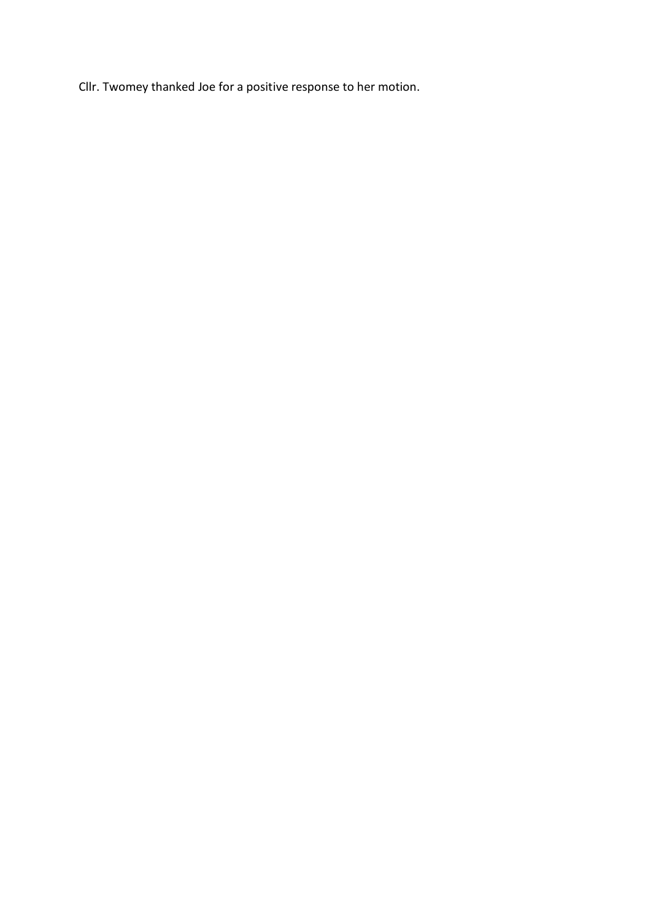Cllr. Twomey thanked Joe for a positive response to her motion.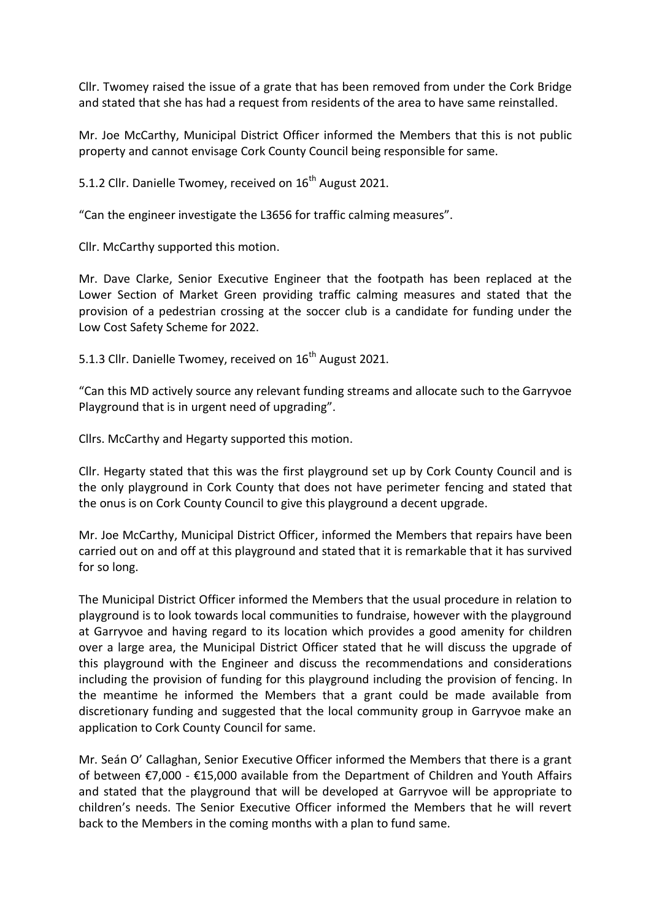Cllr. Twomey raised the issue of a grate that has been removed from under the Cork Bridge and stated that she has had a request from residents of the area to have same reinstalled.

Mr. Joe McCarthy, Municipal District Officer informed the Members that this is not public property and cannot envisage Cork County Council being responsible for same.

5.1.2 Cllr. Danielle Twomey, received on 16<sup>th</sup> August 2021.

"Can the engineer investigate the L3656 for traffic calming measures".

Cllr. McCarthy supported this motion.

Mr. Dave Clarke, Senior Executive Engineer that the footpath has been replaced at the Lower Section of Market Green providing traffic calming measures and stated that the provision of a pedestrian crossing at the soccer club is a candidate for funding under the Low Cost Safety Scheme for 2022.

5.1.3 Cllr. Danielle Twomey, received on 16<sup>th</sup> August 2021.

"Can this MD actively source any relevant funding streams and allocate such to the Garryvoe Playground that is in urgent need of upgrading".

Cllrs. McCarthy and Hegarty supported this motion.

Cllr. Hegarty stated that this was the first playground set up by Cork County Council and is the only playground in Cork County that does not have perimeter fencing and stated that the onus is on Cork County Council to give this playground a decent upgrade.

Mr. Joe McCarthy, Municipal District Officer, informed the Members that repairs have been carried out on and off at this playground and stated that it is remarkable that it has survived for so long.

The Municipal District Officer informed the Members that the usual procedure in relation to playground is to look towards local communities to fundraise, however with the playground at Garryvoe and having regard to its location which provides a good amenity for children over a large area, the Municipal District Officer stated that he will discuss the upgrade of this playground with the Engineer and discuss the recommendations and considerations including the provision of funding for this playground including the provision of fencing. In the meantime he informed the Members that a grant could be made available from discretionary funding and suggested that the local community group in Garryvoe make an application to Cork County Council for same.

Mr. Seán O' Callaghan, Senior Executive Officer informed the Members that there is a grant of between €7,000 - €15,000 available from the Department of Children and Youth Affairs and stated that the playground that will be developed at Garryvoe will be appropriate to children's needs. The Senior Executive Officer informed the Members that he will revert back to the Members in the coming months with a plan to fund same.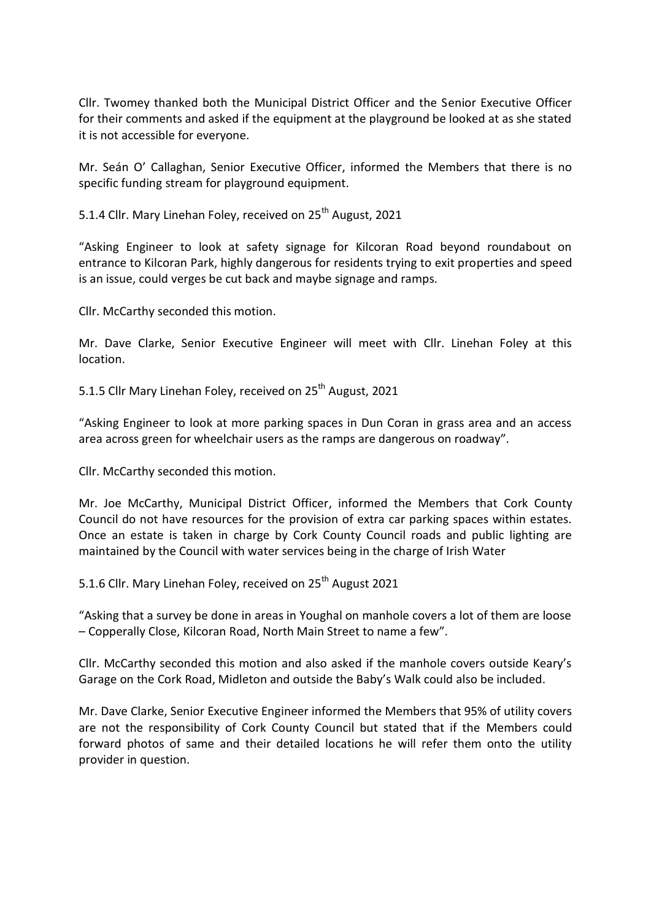Cllr. Twomey thanked both the Municipal District Officer and the Senior Executive Officer for their comments and asked if the equipment at the playground be looked at as she stated it is not accessible for everyone.

Mr. Seán O' Callaghan, Senior Executive Officer, informed the Members that there is no specific funding stream for playground equipment.

5.1.4 Cllr. Mary Linehan Foley, received on 25<sup>th</sup> August, 2021

"Asking Engineer to look at safety signage for Kilcoran Road beyond roundabout on entrance to Kilcoran Park, highly dangerous for residents trying to exit properties and speed is an issue, could verges be cut back and maybe signage and ramps.

Cllr. McCarthy seconded this motion.

Mr. Dave Clarke, Senior Executive Engineer will meet with Cllr. Linehan Foley at this location.

5.1.5 Cllr Mary Linehan Foley, received on 25<sup>th</sup> August, 2021

"Asking Engineer to look at more parking spaces in Dun Coran in grass area and an access area across green for wheelchair users as the ramps are dangerous on roadway".

Cllr. McCarthy seconded this motion.

Mr. Joe McCarthy, Municipal District Officer, informed the Members that Cork County Council do not have resources for the provision of extra car parking spaces within estates. Once an estate is taken in charge by Cork County Council roads and public lighting are maintained by the Council with water services being in the charge of Irish Water

5.1.6 Cllr. Mary Linehan Foley, received on 25<sup>th</sup> August 2021

"Asking that a survey be done in areas in Youghal on manhole covers a lot of them are loose – Copperally Close, Kilcoran Road, North Main Street to name a few".

Cllr. McCarthy seconded this motion and also asked if the manhole covers outside Keary's Garage on the Cork Road, Midleton and outside the Baby's Walk could also be included.

Mr. Dave Clarke, Senior Executive Engineer informed the Members that 95% of utility covers are not the responsibility of Cork County Council but stated that if the Members could forward photos of same and their detailed locations he will refer them onto the utility provider in question.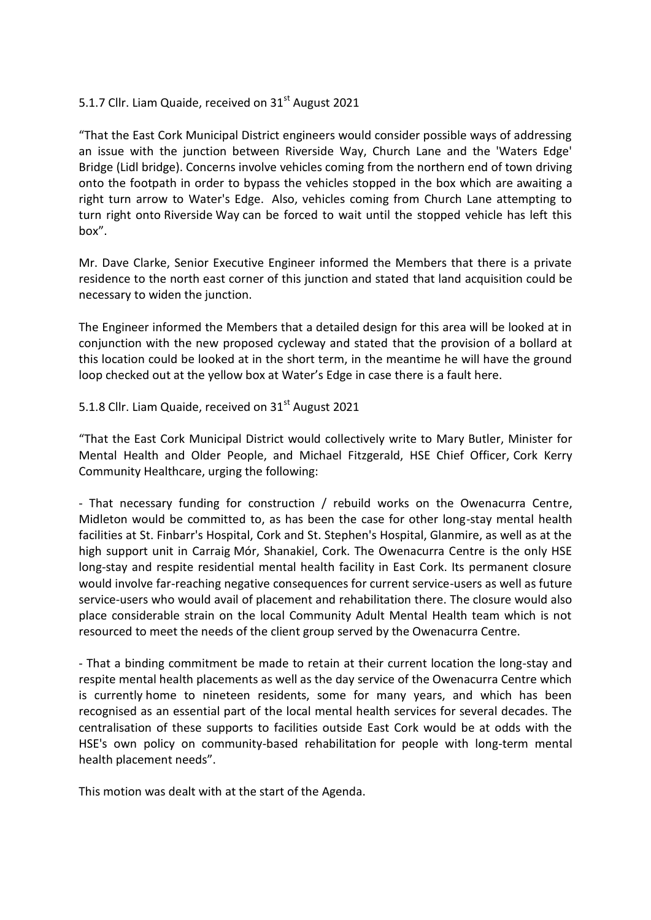# 5.1.7 Cllr. Liam Quaide, received on 31<sup>st</sup> August 2021

"That the East Cork Municipal District engineers would consider possible ways of addressing an issue with the junction between Riverside Way, Church Lane and the 'Waters Edge' Bridge (Lidl bridge). Concerns involve vehicles coming from the northern end of town driving onto the footpath in order to bypass the vehicles stopped in the box which are awaiting a right turn arrow to Water's Edge. Also, vehicles coming from Church Lane attempting to turn right onto Riverside Way can be forced to wait until the stopped vehicle has left this box".

Mr. Dave Clarke, Senior Executive Engineer informed the Members that there is a private residence to the north east corner of this junction and stated that land acquisition could be necessary to widen the junction.

The Engineer informed the Members that a detailed design for this area will be looked at in conjunction with the new proposed cycleway and stated that the provision of a bollard at this location could be looked at in the short term, in the meantime he will have the ground loop checked out at the yellow box at Water's Edge in case there is a fault here.

#### 5.1.8 Cllr. Liam Quaide, received on 31<sup>st</sup> August 2021

"That the East Cork Municipal District would collectively write to Mary Butler, Minister for Mental Health and Older People, and Michael Fitzgerald, HSE Chief Officer, Cork Kerry Community Healthcare, urging the following:

- That necessary funding for construction / rebuild works on the Owenacurra Centre, Midleton would be committed to, as has been the case for other long-stay mental health facilities at St. Finbarr's Hospital, Cork and St. Stephen's Hospital, Glanmire, as well as at the high support unit in Carraig Mór, Shanakiel, Cork. The Owenacurra Centre is the only HSE long-stay and respite residential mental health facility in East Cork. Its permanent closure would involve far-reaching negative consequences for current service-users as well as future service-users who would avail of placement and rehabilitation there. The closure would also place considerable strain on the local Community Adult Mental Health team which is not resourced to meet the needs of the client group served by the Owenacurra Centre.

- That a binding commitment be made to retain at their current location the long-stay and respite mental health placements as well as the day service of the Owenacurra Centre which is currently home to nineteen residents, some for many years, and which has been recognised as an essential part of the local mental health services for several decades. The centralisation of these supports to facilities outside East Cork would be at odds with the HSE's own policy on community-based rehabilitation for people with long-term mental health placement needs".

This motion was dealt with at the start of the Agenda.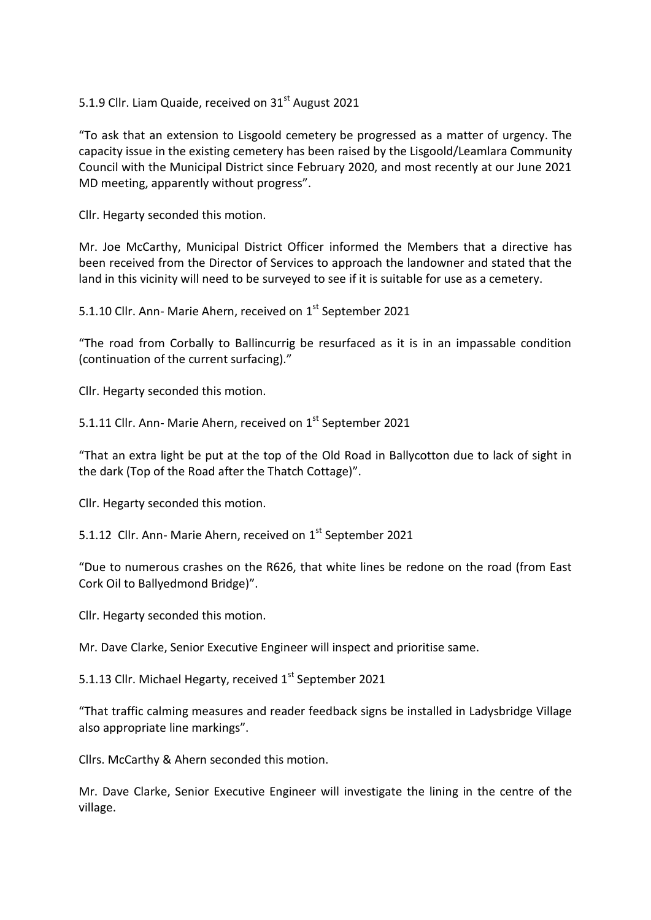5.1.9 Cllr. Liam Quaide, received on 31<sup>st</sup> August 2021

"To ask that an extension to Lisgoold cemetery be progressed as a matter of urgency. The capacity issue in the existing cemetery has been raised by the Lisgoold/Leamlara Community Council with the Municipal District since February 2020, and most recently at our June 2021 MD meeting, apparently without progress".

Cllr. Hegarty seconded this motion.

Mr. Joe McCarthy, Municipal District Officer informed the Members that a directive has been received from the Director of Services to approach the landowner and stated that the land in this vicinity will need to be surveyed to see if it is suitable for use as a cemetery.

5.1.10 Cllr. Ann- Marie Ahern, received on 1<sup>st</sup> September 2021

"The road from Corbally to Ballincurrig be resurfaced as it is in an impassable condition (continuation of the current surfacing)."

Cllr. Hegarty seconded this motion.

5.1.11 Cllr. Ann- Marie Ahern, received on 1<sup>st</sup> September 2021

"That an extra light be put at the top of the Old Road in Ballycotton due to lack of sight in the dark (Top of the Road after the Thatch Cottage)".

Cllr. Hegarty seconded this motion.

5.1.12 Cllr. Ann- Marie Ahern, received on 1<sup>st</sup> September 2021

"Due to numerous crashes on the R626, that white lines be redone on the road (from East Cork Oil to Ballyedmond Bridge)".

Cllr. Hegarty seconded this motion.

Mr. Dave Clarke, Senior Executive Engineer will inspect and prioritise same.

5.1.13 Cllr. Michael Hegarty, received  $1<sup>st</sup>$  September 2021

"That traffic calming measures and reader feedback signs be installed in Ladysbridge Village also appropriate line markings".

Cllrs. McCarthy & Ahern seconded this motion.

Mr. Dave Clarke, Senior Executive Engineer will investigate the lining in the centre of the village.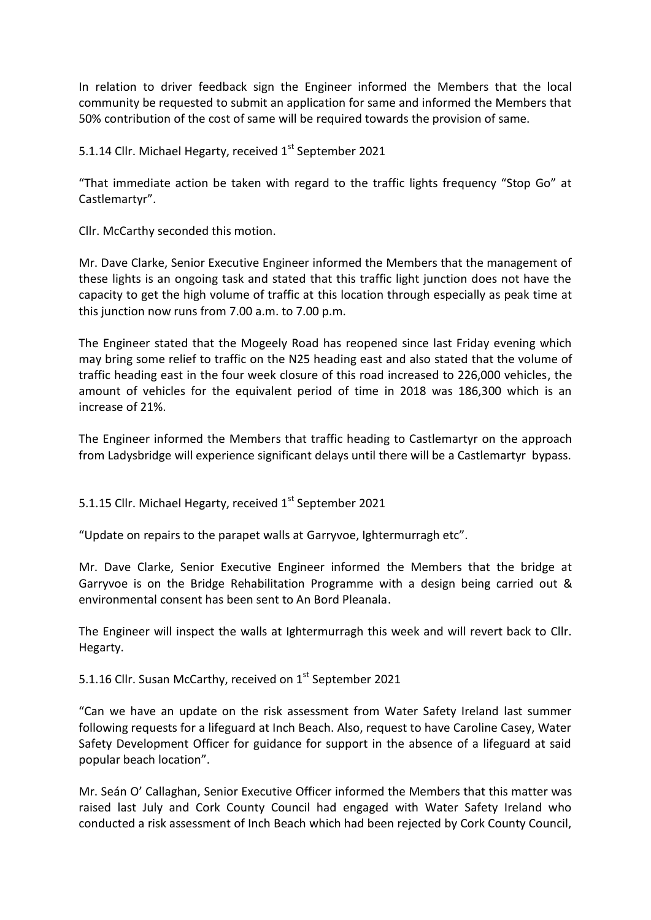In relation to driver feedback sign the Engineer informed the Members that the local community be requested to submit an application for same and informed the Members that 50% contribution of the cost of same will be required towards the provision of same.

5.1.14 Cllr. Michael Hegarty, received 1<sup>st</sup> September 2021

"That immediate action be taken with regard to the traffic lights frequency "Stop Go" at Castlemartyr".

Cllr. McCarthy seconded this motion.

Mr. Dave Clarke, Senior Executive Engineer informed the Members that the management of these lights is an ongoing task and stated that this traffic light junction does not have the capacity to get the high volume of traffic at this location through especially as peak time at this junction now runs from 7.00 a.m. to 7.00 p.m.

The Engineer stated that the Mogeely Road has reopened since last Friday evening which may bring some relief to traffic on the N25 heading east and also stated that the volume of traffic heading east in the four week closure of this road increased to 226,000 vehicles, the amount of vehicles for the equivalent period of time in 2018 was 186,300 which is an increase of 21%.

The Engineer informed the Members that traffic heading to Castlemartyr on the approach from Ladysbridge will experience significant delays until there will be a Castlemartyr bypass.

5.1.15 Cllr. Michael Hegarty, received  $1<sup>st</sup>$  September 2021

"Update on repairs to the parapet walls at Garryvoe, Ightermurragh etc".

Mr. Dave Clarke, Senior Executive Engineer informed the Members that the bridge at Garryvoe is on the Bridge Rehabilitation Programme with a design being carried out & environmental consent has been sent to An Bord Pleanala.

The Engineer will inspect the walls at Ightermurragh this week and will revert back to Cllr. Hegarty.

5.1.16 Cllr. Susan McCarthy, received on 1<sup>st</sup> September 2021

"Can we have an update on the risk assessment from Water Safety Ireland last summer following requests for a lifeguard at Inch Beach. Also, request to have Caroline Casey, Water Safety Development Officer for guidance for support in the absence of a lifeguard at said popular beach location".

Mr. Seán O' Callaghan, Senior Executive Officer informed the Members that this matter was raised last July and Cork County Council had engaged with Water Safety Ireland who conducted a risk assessment of Inch Beach which had been rejected by Cork County Council,